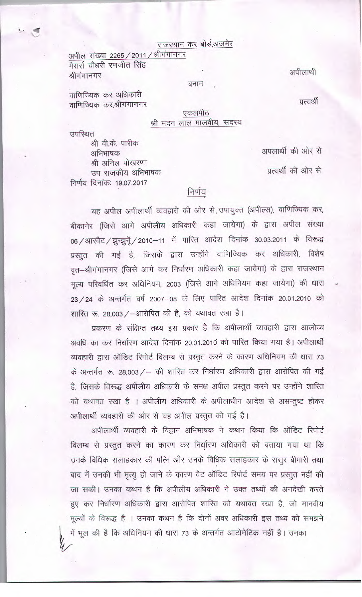राजस्थान कर बोर्ड,अजमेर

अपील संख्या 2265 / 2011 / श्रीगंगानगर मैसर्स चौधरी रणजीत सिंह श्रीगंगानगर

वाणिज्यिक कर अधिकारी वाणिज्यिक कर,श्रीगंगानगर अपीलाथी

प्रत्यर्थी

## एकलपीठ श्री मदन लाल मालवीय, सदस्य

बनाम

उपस्थित

श्री वी.के. पारीक अभिभाषक श्री अनिल पोखरणा उप राजकीय अभिभाषक निर्णय दिनांकः 19.07.2017

अपलार्थी की ओर से

प्रत्यर्थी की ओर से

## निर्णय

यह अपील अपीलार्थी व्यवहारी की ओर से उपायुक्त (अपील्स), वाणिज्यिक कर, बीकानेर (जिसे आगे अपीलीय अधिकारी कहा जायेगा) के द्वारा अपील संख्या 06 / आरवैट / झुन्झुनूँ / 2010–11 में पारित आदेश दिनांक 30.03.2011 के विरूद्ध प्रस्तुत की गई है, जिसके द्वारा उन्होंने वाणिज्यिक कर अधिकारी, विशेष वृत-श्रीगंगानगर (जिसे आगे कर निर्धारण अधिकारी कहा जायेगा) के द्वारा राजस्थान मूल्य परिवर्धित कर अधिनियम, 2003 (जिसे आगे अधिनियम कहा जायेगा) की धारा 23 / 24 के अन्तर्गत वर्ष 2007-08 के लिए पारित आदेश दिनांक 20.01.2010 को शास्ति रू. 28,003 / -आरोपित की है, को यथावत रखा है।

प्रकरण के संक्षिप्त तथ्य इस प्रकार है कि अपीलार्थी व्यवहारी द्वारा आलोच्य अवधि का कर निर्धारण आदेश दिनांक 20.01.2010 को पारित किया गया है। अपीलार्थी व्यवहारी द्वारा ऑडिट रिपोर्ट विलम्ब से प्रस्तुत करने के कारण अधिनियम की धारा 73 के अन्तर्गत रू. 28,003 / - की शास्ति कर निर्धारण अधिकारी द्वारा आरोपित की गई है, जिसके विरूद्ध अपीलीय अधिकारी के समक्ष अपील प्रस्तुत करने पर उन्होंने शास्ति को यथावत रखा है । अपीलीय अधिकारी के अपीलाधीन आदेश से असन्तुष्ट होकर अपीलार्थी व्यवहारी की ओर से यह अपील प्रस्तुत की गई है।

अपीलार्थी व्यवहारी के विद्वान अभिभाषक ने कथन किया कि ऑडिट रिपोर्ट विलम्ब से प्रस्तुत करने का कारण कर निर्धारण अधिकारी को बताया गया था कि उनके विधिक सलाहकार की पत्नि और उनके विधिक सलाहकार के ससूर बीमारी तथा बाद में उनकी भी मृत्यू हो जाने के कारण वैट ऑडिट रिपोर्ट समय पर प्रस्तुत नहीं की जा सकी। उनका कथन है कि अपीलीय अधिकारी ने उक्त तथ्यों की अनदेखी करते हुए कर निर्धारण अधिकारी द्वारा आरोपित शास्ति को यथावत रखा है, जो मानवीय मूल्यों के विरूद्ध है । उनका कथन है कि दोनों अवर अधिकारी इस तथ्य को समझने

में भूल की है कि अधिनियम की धारा 73 के अन्तर्गत आटोमेटिक नहीं है। उनका